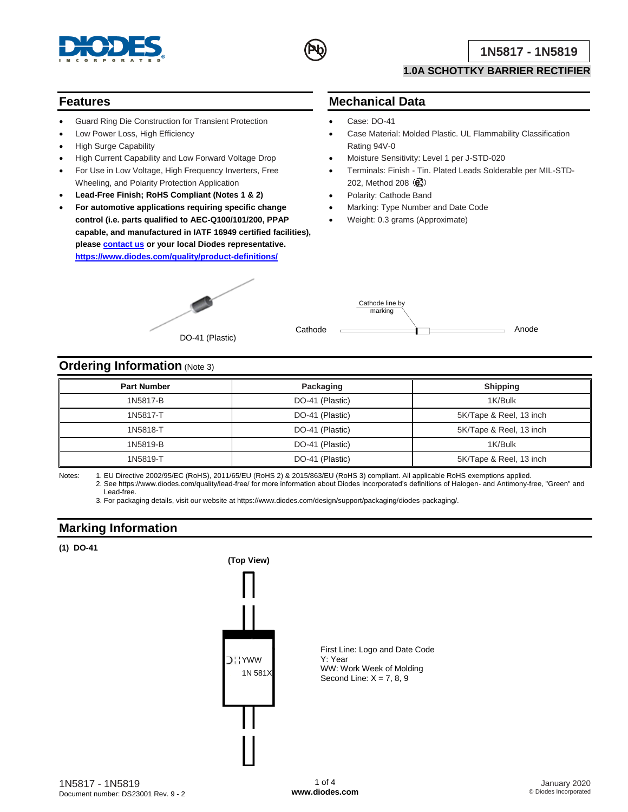



#### **1.0A SCHOTTKY BARRIER RECTIFIER**

### **Features**

- Guard Ring Die Construction for Transient Protection
- Low Power Loss, High Efficiency
- High Surge Capability
- High Current Capability and Low Forward Voltage Drop
- For Use in Low Voltage, High Frequency Inverters, Free Wheeling, and Polarity Protection Application
- **Lead-Free Finish; RoHS Compliant (Notes 1 & 2)**
- **For automotive applications requiring specific change control (i.e. parts qualified to AEC-Q100/101/200, PPAP capable, and manufactured in IATF 16949 certified facilities), pleas[e contact us](https://www.diodes.com/about/contact-us/) or your local Diodes representative. <https://www.diodes.com/quality/product-definitions/>**



# **Mechanical Data**

- Case: DO-41
- Case Material: Molded Plastic. UL Flammability Classification Rating 94V-0
- Moisture Sensitivity: Level 1 per J-STD-020
- Terminals: Finish Tin. Plated Leads Solderable per MIL-STD-202, Method 208 **(e3)**
- Polarity: Cathode Band
- Marking: Type Number and Date Code
- Weight: 0.3 grams (Approximate)



### **Ordering Information** (Note 3)

| <b>Part Number</b> | Packaging       | <b>Shipping</b>         |
|--------------------|-----------------|-------------------------|
| 1N5817-B           | DO-41 (Plastic) | 1K/Bulk                 |
| 1N5817-T           | DO-41 (Plastic) | 5K/Tape & Reel, 13 inch |
| 1N5818-T           | DO-41 (Plastic) | 5K/Tape & Reel, 13 inch |
| 1N5819-B           | DO-41 (Plastic) | 1K/Bulk                 |
| 1N5819-T           | DO-41 (Plastic) | 5K/Tape & Reel, 13 inch |

Notes: 1. EU Directive 2002/95/EC (RoHS), 2011/65/EU (RoHS 2) & 2015/863/EU (RoHS 3) compliant. All applicable RoHS exemptions applied. 2. See [https://www.diodes.com/quality/lead-free/ fo](https://www.diodes.com/quality/lead-free/)r more information about Diodes Incorporated's definitions of Halogen- and Antimony-free, "Green" and Lead-free.

3. For packaging details, visit our website at [https://www.diodes.com/design/support/packaging/diodes-packaging/.](https://www.diodes.com/design/support/packaging/diodes-packaging/)

### **Marking Information**

#### **(1) DO-41**



First Line: Logo and Date Code Y: Year WW: Work Week of Molding Second Line:  $X = 7, 8, 9$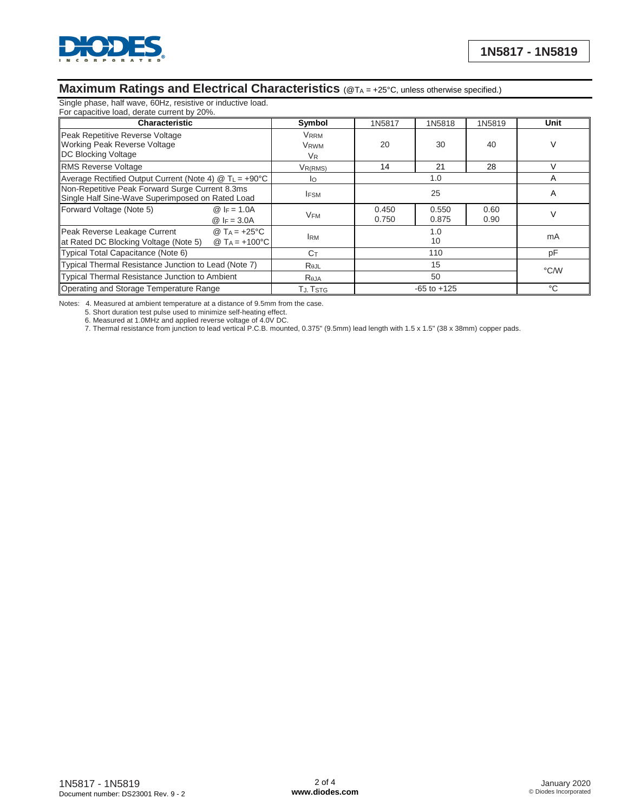

## **Maximum Ratings and Electrical Characteristics** (@TA = +25°C, unless otherwise specified.)

Single phase, half wave, 60Hz, resistive or inductive load.

| For capacitive load, derate current by 20%.                                                         |                                          |                                                   |                 |                |              |               |  |
|-----------------------------------------------------------------------------------------------------|------------------------------------------|---------------------------------------------------|-----------------|----------------|--------------|---------------|--|
| <b>Characteristic</b>                                                                               |                                          | Symbol                                            | 1N5817          | 1N5818         | 1N5819       | Unit          |  |
| Peak Repetitive Reverse Voltage<br>Working Peak Reverse Voltage<br>DC Blocking Voltage              |                                          | Vrrm<br><b>V</b> <sub>RWM</sub><br>V <sub>R</sub> | 20              | 30             | 40           | V             |  |
| <b>RMS Reverse Voltage</b>                                                                          |                                          | $V_{R(RMS)}$                                      | 14              | 21             | 28           | $\mathcal{U}$ |  |
| Average Rectified Output Current (Note 4) $@$ T <sub>L</sub> = +90°C                                |                                          | Io                                                | 1.0             |                | A            |               |  |
| Non-Repetitive Peak Forward Surge Current 8.3ms<br>Single Half Sine-Wave Superimposed on Rated Load |                                          | <b>IFSM</b>                                       | 25              |                | A            |               |  |
| Forward Voltage (Note 5)                                                                            | $@$ IF = 1.0A<br>@ $F = 3.0A$            | <b>VFM</b>                                        | 0.450<br>0.750  | 0.550<br>0.875 | 0.60<br>0.90 |               |  |
| Peak Reverse Leakage Current<br>at Rated DC Blocking Voltage (Note 5)                               | @ $Ta = +25^{\circ}C$<br>@ $Ta = +100°C$ | <b>IRM</b>                                        |                 | 1.0<br>10      |              | mA            |  |
| Typical Total Capacitance (Note 6)                                                                  |                                          | Cт                                                | 110             |                | pF           |               |  |
| Typical Thermal Resistance Junction to Lead (Note 7)                                                |                                          | $R_{\theta$ JL                                    | 15              |                | °C/W         |               |  |
| Typical Thermal Resistance Junction to Ambient                                                      |                                          | Reja                                              | 50              |                |              |               |  |
| Operating and Storage Temperature Range                                                             |                                          | TJ. TSTG                                          | $-65$ to $+125$ |                | °C           |               |  |

Notes: 4. Measured at ambient temperature at a distance of 9.5mm from the case.

5. Short duration test pulse used to minimize self-heating effect.

6. Measured at 1.0MHz and applied reverse voltage of 4.0V DC.

7. Thermal resistance from junction to lead vertical P.C.B. mounted, 0.375" (9.5mm) lead length with 1.5 x 1.5" (38 x 38mm) copper pads.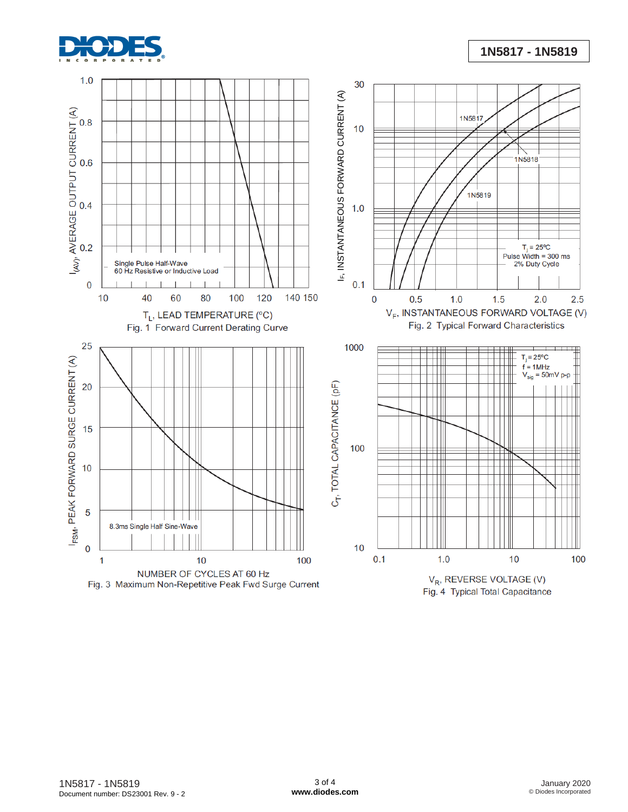